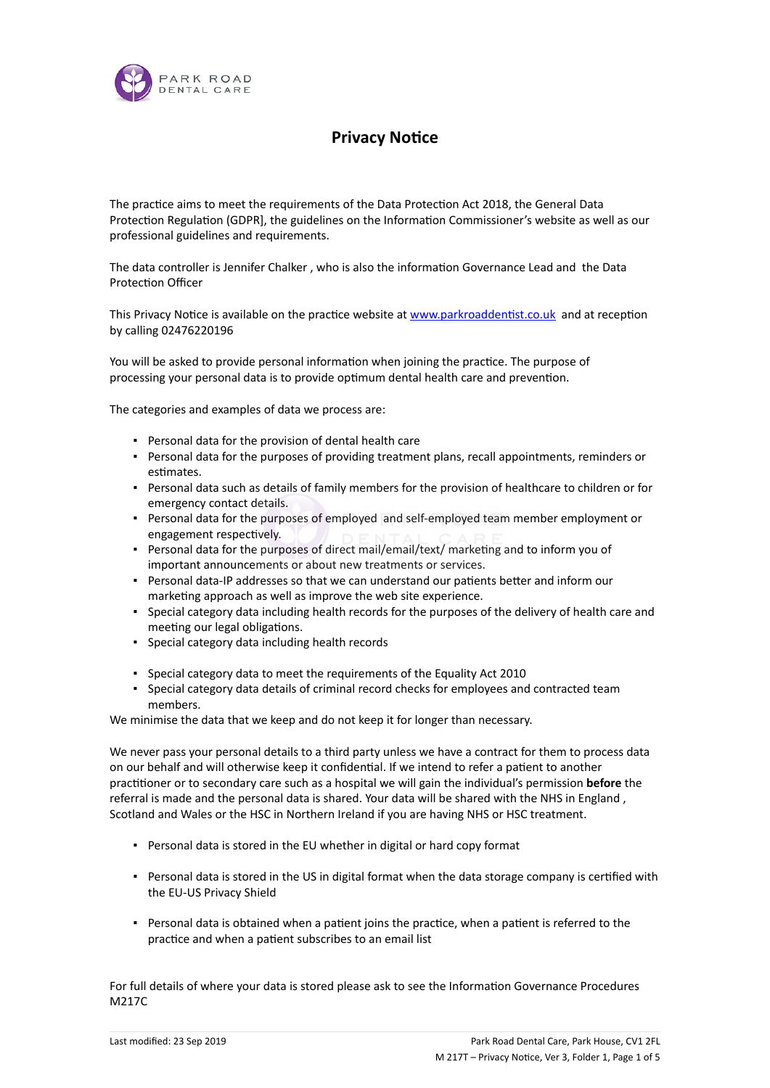

## **Privacy Notice**

The practice aims to meet the requirements of the Data Protection Act 2018, the General Data Protection Regulation (GDPR], the guidelines on the Information Commissioner's website as well as our professional guidelines and requirements.

The data controller is Jennifer Chalker, who is also the information Governance Lead and the Data Protection Officer

This Privacy Notice is available on the practice website at www.parkroaddentist.co.uk and at reception by calling 02476220196

You will be asked to provide personal information when joining the practice. The purpose of processing your personal data is to provide optimum dental health care and prevention.

The categories and examples of data we process are:

- Personal data for the provision of dental health care
- Personal data for the purposes of providing treatment plans, recall appointments, reminders or estimates.
- Personal data such as details of family members for the provision of healthcare to children or for emergency contact details.
- Personal data for the purposes of employed and self-employed team member employment or engagement respectively.
- Personal data for the purposes of direct mail/email/text/ marketing and to inform you of important announcements or about new treatments or services.
- Personal data-IP addresses so that we can understand our patients better and inform our marketing approach as well as improve the web site experience.
- Special category data including health records for the purposes of the delivery of health care and meeting our legal obligations.
- Special category data including health records
- Special category data to meet the requirements of the Equality Act 2010
- Special category data details of criminal record checks for employees and contracted team members.

We minimise the data that we keep and do not keep it for longer than necessary.

We never pass your personal details to a third party unless we have a contract for them to process data on our behalf and will otherwise keep it confidential. If we intend to refer a patient to another practitioner or to secondary care such as a hospital we will gain the individual's permission **before** the referral is made and the personal data is shared. Your data will be shared with the NHS in England , Scotland and Wales or the HSC in Northern Ireland if you are having NHS or HSC treatment.

- Personal data is stored in the EU whether in digital or hard copy format
- Personal data is stored in the US in digital format when the data storage company is certified with the EU-US Privacy Shield
- Personal data is obtained when a patient joins the practice, when a patient is referred to the practice and when a patient subscribes to an email list

For full details of where your data is stored please ask to see the Information Governance Procedures M217C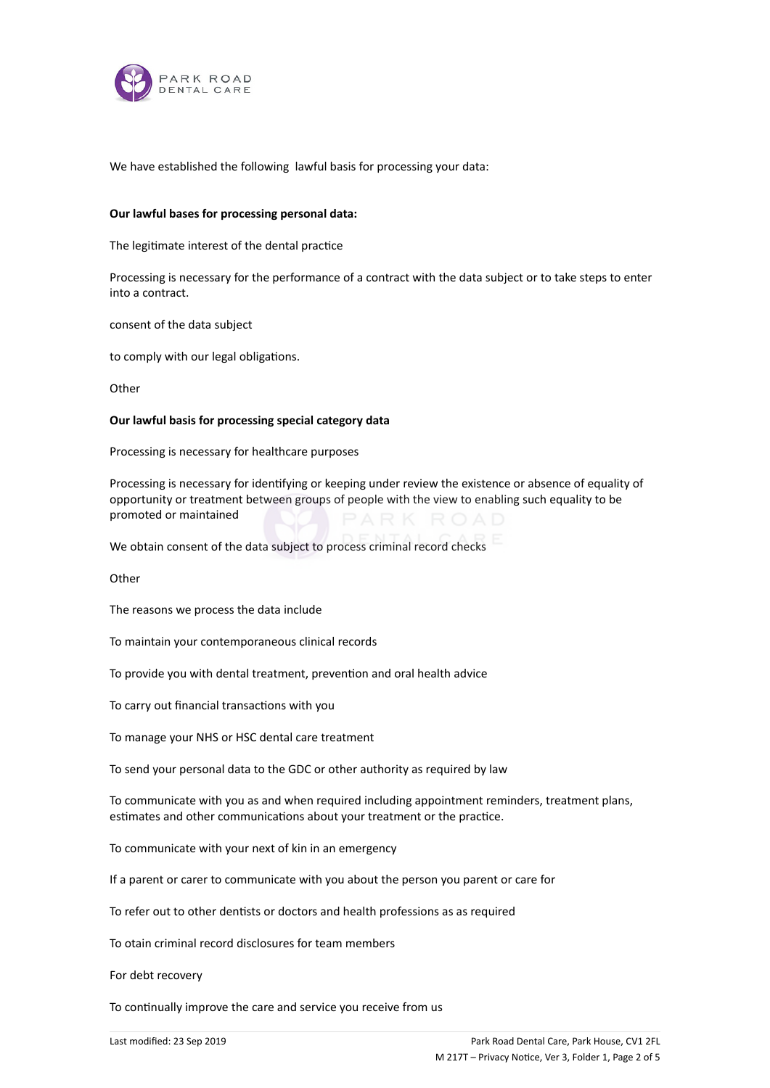

We have established the following lawful basis for processing your data:

### **Our lawful bases for processing personal data:**

The legitimate interest of the dental practice

Processing is necessary for the performance of a contract with the data subject or to take steps to enter into a contract.

consent of the data subject

to comply with our legal obligations.

**Other** 

### **Our lawful basis for processing special category data**

Processing is necessary for healthcare purposes

Processing is necessary for identifying or keeping under review the existence or absence of equality of opportunity or treatment between groups of people with the view to enabling such equality to be promoted or maintained

We obtain consent of the data subject to process criminal record checks

Other

The reasons we process the data include

To maintain your contemporaneous clinical records

To provide you with dental treatment, prevention and oral health advice

To carry out financial transactions with you

To manage your NHS or HSC dental care treatment

To send your personal data to the GDC or other authority as required by law

To communicate with you as and when required including appointment reminders, treatment plans, estimates and other communications about your treatment or the practice.

To communicate with your next of kin in an emergency

If a parent or carer to communicate with you about the person you parent or care for

To refer out to other dentists or doctors and health professions as as required

To otain criminal record disclosures for team members

For debt recovery

To continually improve the care and service you receive from us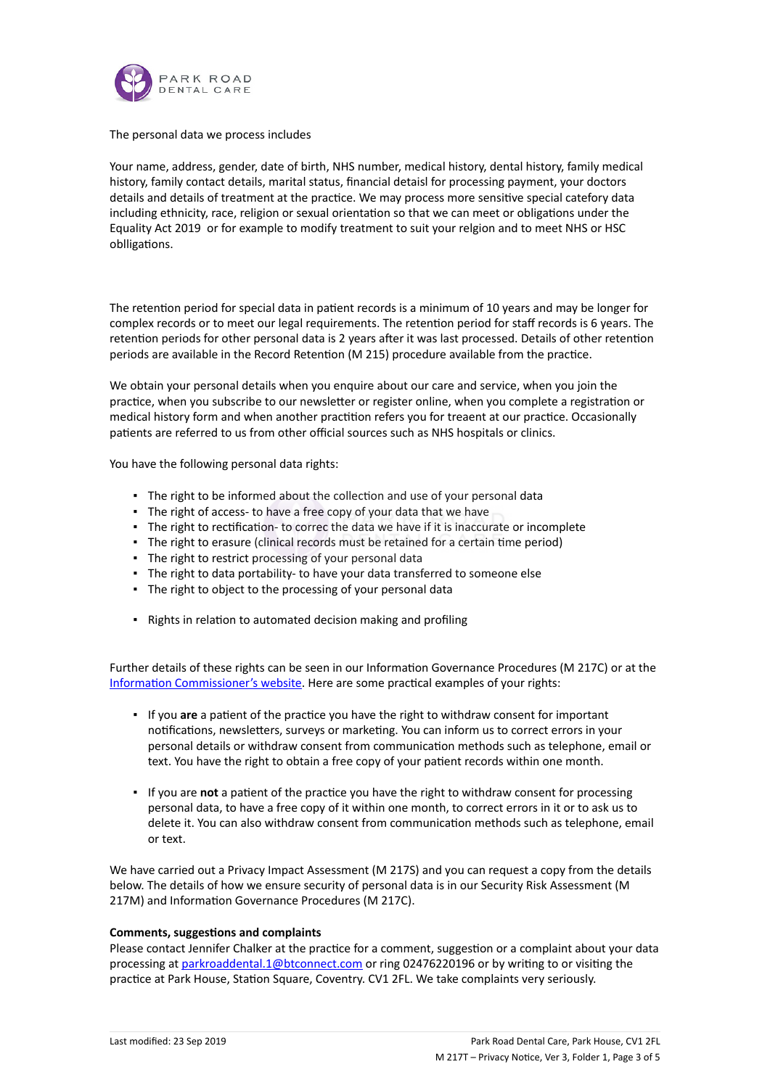

## The personal data we process includes

Your name, address, gender, date of birth, NHS number, medical history, dental history, family medical history, family contact details, marital status, financial detaisl for processing payment, your doctors details and details of treatment at the practice. We may process more sensitive special catefory data including ethnicity, race, religion or sexual orientation so that we can meet or obligations under the Equality Act 2019 or for example to modify treatment to suit your relgion and to meet NHS or HSC oblligations.

The retention period for special data in patient records is a minimum of 10 years and may be longer for complex records or to meet our legal requirements. The retention period for staff records is 6 years. The retention periods for other personal data is 2 years after it was last processed. Details of other retention periods are available in the Record Retention (M 215) procedure available from the practice.

We obtain your personal details when you enquire about our care and service, when you join the practice, when you subscribe to our newsletter or register online, when you complete a registration or medical history form and when another practition refers you for treaent at our practice. Occasionally patients are referred to us from other official sources such as NHS hospitals or clinics.

You have the following personal data rights:

- **.** The right to be informed about the collection and use of your personal data
- The right of access- to have a free copy of your data that we have
- **The right to rectification- to correc the data we have if it is inaccurate or incomplete**
- **·** The right to erasure (clinical records must be retained for a certain time period)
- The right to restrict processing of your personal data
- The right to data portability- to have your data transferred to someone else
- The right to object to the processing of your personal data
- Rights in relation to automated decision making and profiling

Further details of these rights can be seen in our Information Governance Procedures (M 217C) or at the Information Commissioner's website. Here are some practical examples of your rights:

- **.** If you are a patient of the practice you have the right to withdraw consent for important notifications, newsletters, surveys or marketing. You can inform us to correct errors in your personal details or withdraw consent from communication methods such as telephone, email or text. You have the right to obtain a free copy of your patient records within one month.
- **.** If you are not a patient of the practice you have the right to withdraw consent for processing personal data, to have a free copy of it within one month, to correct errors in it or to ask us to delete it. You can also withdraw consent from communication methods such as telephone, email or text.

We have carried out a Privacy Impact Assessment (M 217S) and you can request a copy from the details below. The details of how we ensure security of personal data is in our Security Risk Assessment (M 217M) and Information Governance Procedures (M 217C).

#### **Comments, suggestions and complaints**

Please contact Jennifer Chalker at the practice for a comment, suggestion or a complaint about your data processing at parkroaddental.1@btconnect.com or ring 02476220196 or by writing to or visiting the practice at Park House, Station Square, Coventry. CV1 2FL. We take complaints very seriously.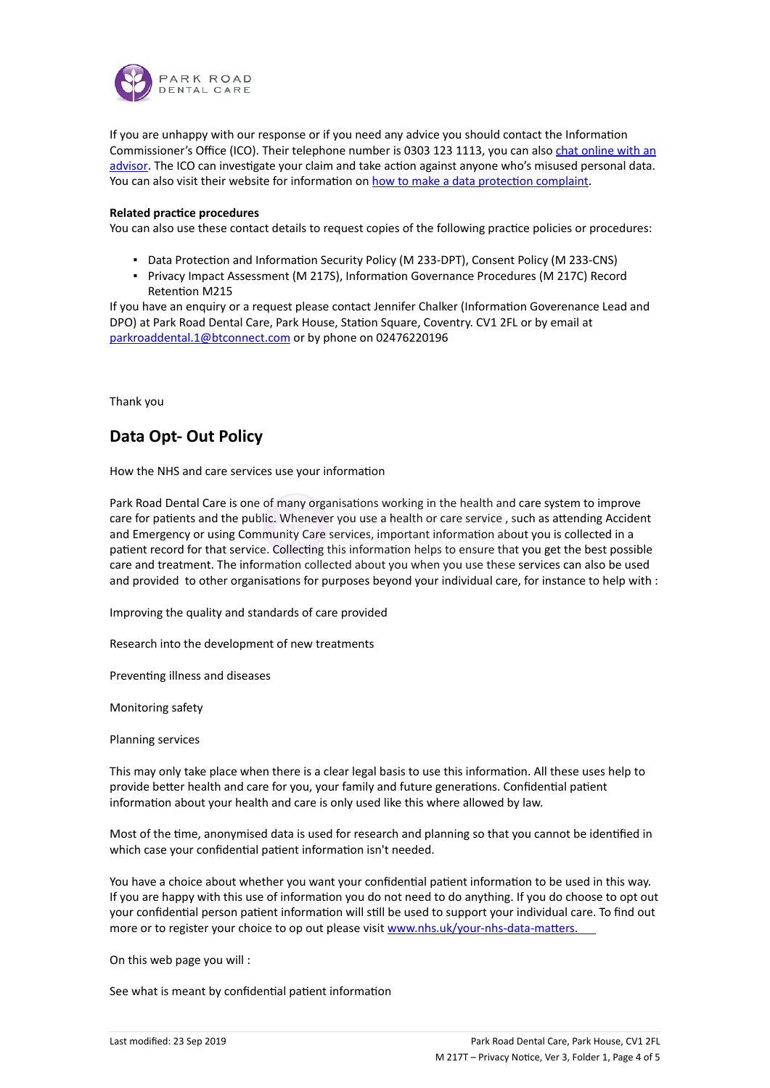

If you are unhappy with our response or if you need any advice you should contact the Information Commissioner's Office (ICO). Their telephone number is 0303 123 1113, you can also chat online with an advisor. The ICO can investigate your claim and take action against anyone who's misused personal data. You can also visit their website for information on how to make a data protection complaint.

## **Related practice procedures**

You can also use these contact details to request copies of the following practice policies or procedures:

- Data Protection and Information Security Policy (M 233-DPT), Consent Policy (M 233-CNS)
- **Privacy Impact Assessment (M 217S), Information Governance Procedures (M 217C) Record** Retention M215

If you have an enquiry or a request please contact Jennifer Chalker (Information Goverenance Lead and DPO) at Park Road Dental Care, Park House, Station Square, Coventry. CV1 2FL or by email at parkroaddental.1@btconnect.com or by phone on 02476220196

Thank you

# **Data Opt- Out Policy**

How the NHS and care services use your information

Park Road Dental Care is one of many organisations working in the health and care system to improve care for patients and the public. Whenever you use a health or care service, such as attending Accident and Emergency or using Community Care services, important information about you is collected in a patient record for that service. Collecting this information helps to ensure that you get the best possible care and treatment. The information collected about you when you use these services can also be used and provided to other organisations for purposes beyond your individual care, for instance to help with :

Improving the quality and standards of care provided

Research into the development of new treatments

Preventing illness and diseases

Monitoring safety

Planning services

This may only take place when there is a clear legal basis to use this information. All these uses help to provide better health and care for you, your family and future generations. Confidential patient information about your health and care is only used like this where allowed by law.

Most of the time, anonymised data is used for research and planning so that you cannot be identified in which case your confidential patient information isn't needed.

You have a choice about whether you want your confidential patient information to be used in this way. If you are happy with this use of information you do not need to do anything. If you do choose to opt out your confidential person patient information will still be used to support your individual care. To find out more or to register your choice to op out please visit www.nhs.uk/your-nhs-data-matters.

On this web page you will :

See what is meant by confidential patient information